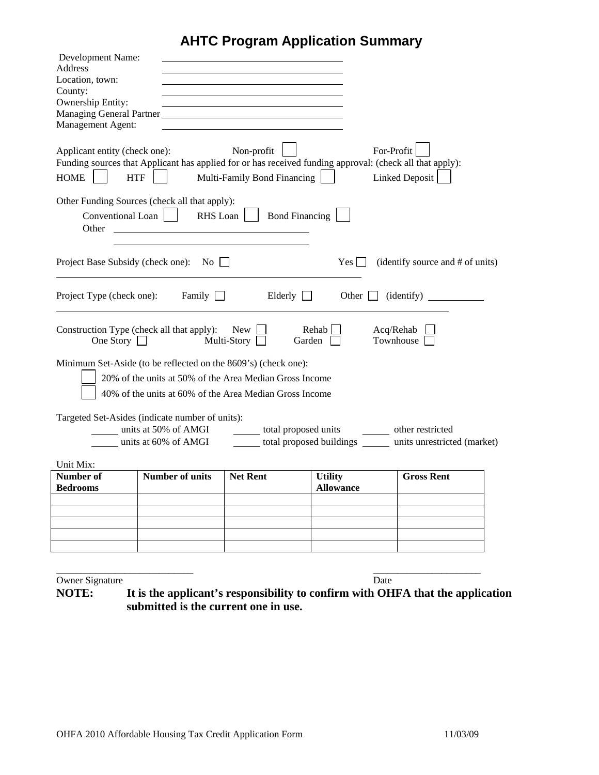# **AHTC Program Application Summary**

| Development Name:                                                                                                                                                      |                                           |                                                              |
|------------------------------------------------------------------------------------------------------------------------------------------------------------------------|-------------------------------------------|--------------------------------------------------------------|
| <b>Address</b><br>Location, town:                                                                                                                                      |                                           |                                                              |
| County:                                                                                                                                                                |                                           |                                                              |
| Ownership Entity:                                                                                                                                                      |                                           |                                                              |
| Managing General Partner                                                                                                                                               |                                           |                                                              |
| Management Agent:                                                                                                                                                      |                                           |                                                              |
| Applicant entity (check one):<br>Funding sources that Applicant has applied for or has received funding approval: (check all that apply):<br><b>HOME</b><br><b>HTF</b> | Non-profit<br>Multi-Family Bond Financing | For-Profit<br>Linked Deposit                                 |
| Other Funding Sources (check all that apply):<br>Conventional Loan<br>RHS Loan<br>Other                                                                                | <b>Bond Financing</b>                     |                                                              |
| Project Base Subsidy (check one): No $\Box$                                                                                                                            | Yes                                       | (identify source and # of units)                             |
| Project Type (check one): Family $\Box$                                                                                                                                | Elderly $\Box$<br>Other $\Box$            | (identity)                                                   |
| Construction Type (check all that apply): New<br>One Story $\Box$<br>Multi-Story $\Box$                                                                                | Rehab<br>Garden                           | Acq/Rehab<br>Townhouse                                       |
| Minimum Set-Aside (to be reflected on the 8609's) (check one):                                                                                                         |                                           |                                                              |
| 20% of the units at 50% of the Area Median Gross Income                                                                                                                |                                           |                                                              |
| 40% of the units at 60% of the Area Median Gross Income                                                                                                                |                                           |                                                              |
| Targeted Set-Asides (indicate number of units):                                                                                                                        |                                           |                                                              |
| units at 50% of AMGI                                                                                                                                                   | total proposed units other restricted     |                                                              |
| units at 60% of AMGI                                                                                                                                                   |                                           | total proposed buildings _______ units unrestricted (market) |
|                                                                                                                                                                        |                                           |                                                              |
| Unit Mix:<br><b>Number of</b><br><b>Number of units</b>                                                                                                                | <b>Net Rent</b><br><b>Utility</b>         | <b>Gross Rent</b>                                            |
| <b>Bedrooms</b>                                                                                                                                                        | <b>Allowance</b>                          |                                                              |
|                                                                                                                                                                        |                                           |                                                              |
|                                                                                                                                                                        |                                           |                                                              |
|                                                                                                                                                                        |                                           |                                                              |
|                                                                                                                                                                        |                                           |                                                              |
|                                                                                                                                                                        |                                           |                                                              |

Owner Signature<br> **NOTE:** It is the applicant's responsibility to confirm with OH It is the applicant's responsibility to confirm with OHFA that the application **submitted is the current one in use.** 

\_\_\_\_\_\_\_\_\_\_\_\_\_\_\_\_\_\_\_\_\_\_\_\_\_\_\_\_ \_\_\_\_\_\_\_\_\_\_\_\_\_\_\_\_\_\_\_\_\_\_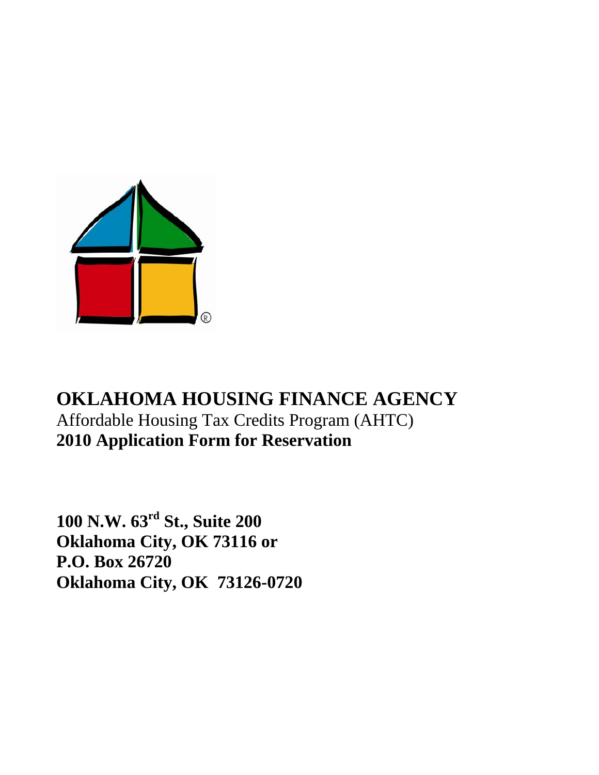

# **OKLAHOMA HOUSING FINANCE AGENCY**  Affordable Housing Tax Credits Program (AHTC) **2010 Application Form for Reservation**

**100 N.W. 63rd St., Suite 200 Oklahoma City, OK 73116 or P.O. Box 26720 Oklahoma City, OK 73126-0720**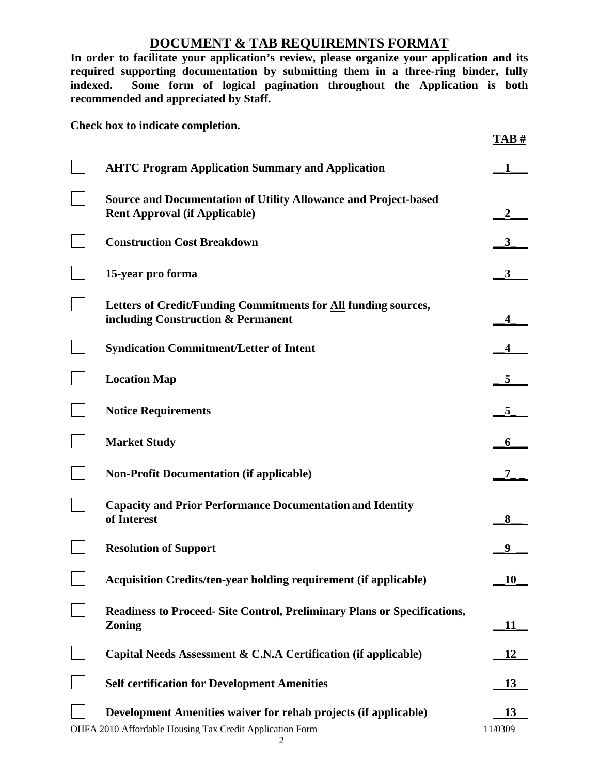# **DOCUMENT & TAB REQUIREMNTS FORMAT**

**In order to facilitate your application's review, please organize your application and its required supporting documentation by submitting them in a three-ring binder, fully indexed. Some form of logical pagination throughout the Application is both recommended and appreciated by Staff.** 

**Check box to indicate completion.** 

|                                                                                                                                  | TAB#          |
|----------------------------------------------------------------------------------------------------------------------------------|---------------|
| <b>AHTC Program Application Summary and Application</b>                                                                          |               |
| <b>Source and Documentation of Utility Allowance and Project-based</b><br><b>Rent Approval (if Applicable)</b>                   |               |
| <b>Construction Cost Breakdown</b>                                                                                               |               |
| 15-year pro forma                                                                                                                |               |
| Letters of Credit/Funding Commitments for <b>All</b> funding sources,<br>including Construction & Permanent                      |               |
| <b>Syndication Commitment/Letter of Intent</b>                                                                                   |               |
| <b>Location Map</b>                                                                                                              |               |
| <b>Notice Requirements</b>                                                                                                       | 5             |
| <b>Market Study</b>                                                                                                              |               |
| <b>Non-Profit Documentation (if applicable)</b>                                                                                  |               |
| <b>Capacity and Prior Performance Documentation and Identity</b><br>of Interest                                                  | 8             |
| <b>Resolution of Support</b>                                                                                                     |               |
| <b>Acquisition Credits/ten-year holding requirement (if applicable)</b>                                                          | 10            |
| <b>Readiness to Proceed- Site Control, Preliminary Plans or Specifications,</b><br><b>Zoning</b>                                 | 11            |
| Capital Needs Assessment & C.N.A Certification (if applicable)                                                                   | 12            |
| <b>Self certification for Development Amenities</b>                                                                              | <u>13</u>     |
| Development Amenities waiver for rehab projects (if applicable)<br>OHFA 2010 Affordable Housing Tax Credit Application Form<br>2 | 13<br>11/0309 |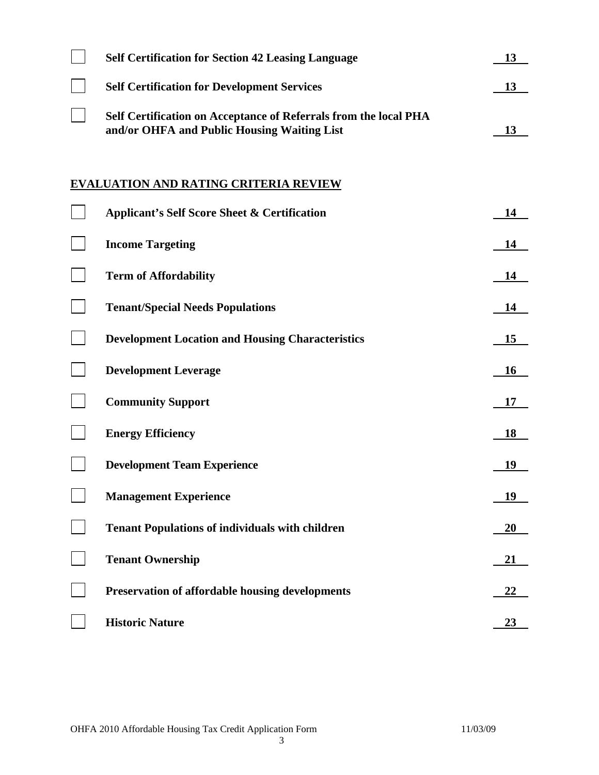| <b>Self Certification for Section 42 Leasing Language</b>                                                       | 13        |
|-----------------------------------------------------------------------------------------------------------------|-----------|
| <b>Self Certification for Development Services</b>                                                              | 13        |
| Self Certification on Acceptance of Referrals from the local PHA<br>and/or OHFA and Public Housing Waiting List | 13        |
|                                                                                                                 |           |
| <b>EVALUATION AND RATING CRITERIA REVIEW</b>                                                                    |           |
| <b>Applicant's Self Score Sheet &amp; Certification</b>                                                         | 14        |
| <b>Income Targeting</b>                                                                                         | 14        |
| <b>Term of Affordability</b>                                                                                    | 14        |
| <b>Tenant/Special Needs Populations</b>                                                                         | 14        |
| <b>Development Location and Housing Characteristics</b>                                                         | 15        |
| <b>Development Leverage</b>                                                                                     | 16        |
| <b>Community Support</b>                                                                                        | 17        |
| <b>Energy Efficiency</b>                                                                                        | 18        |
| <b>Development Team Experience</b>                                                                              | 19        |
| <b>Management Experience</b>                                                                                    | 19        |
| <b>Tenant Populations of individuals with children</b>                                                          | <b>20</b> |
| <b>Tenant Ownership</b>                                                                                         | 21        |
| <b>Preservation of affordable housing developments</b>                                                          | <u>22</u> |
| <b>Historic Nature</b>                                                                                          | 23        |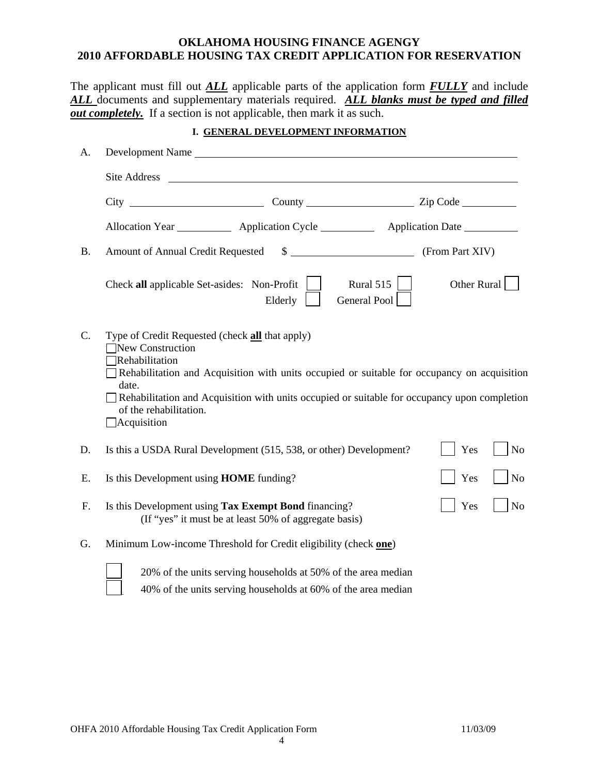#### **OKLAHOMA HOUSING FINANCE AGENGY 2010 AFFORDABLE HOUSING TAX CREDIT APPLICATION FOR RESERVATION**

The applicant must fill out *ALL* applicable parts of the application form *FULLY* and include *ALL* documents and supplementary materials required. *ALL blanks must be typed and filled <u>out completely.</u>* If a section is not applicable, then mark it as such.

#### **I. GENERAL DEVELOPMENT INFORMATION**

| A.        | Development Name                                                                                                                                                                                                                                                                                                                                     |                                                  |
|-----------|------------------------------------------------------------------------------------------------------------------------------------------------------------------------------------------------------------------------------------------------------------------------------------------------------------------------------------------------------|--------------------------------------------------|
|           |                                                                                                                                                                                                                                                                                                                                                      |                                                  |
|           |                                                                                                                                                                                                                                                                                                                                                      |                                                  |
|           | Allocation Year _____________ Application Cycle _____________ Application Date _________                                                                                                                                                                                                                                                             |                                                  |
| <b>B.</b> | <b>Amount of Annual Credit Requested</b>                                                                                                                                                                                                                                                                                                             | $\$\$ (From Part XIV)                            |
|           | Check all applicable Set-asides: Non-Profit<br>Elderly                                                                                                                                                                                                                                                                                               | Other Rural<br>Rural 515 $\vert$<br>General Pool |
| C.        | Type of Credit Requested (check <b>all</b> that apply)<br>New Construction<br>Rehabilitation<br>Rehabilitation and Acquisition with units occupied or suitable for occupancy on acquisition<br>date.<br>Rehabilitation and Acquisition with units occupied or suitable for occupancy upon completion<br>of the rehabilitation.<br>$\Box$ Acquisition |                                                  |
| D.        | Is this a USDA Rural Development (515, 538, or other) Development?                                                                                                                                                                                                                                                                                   | Yes<br>N <sub>o</sub>                            |
| Ε.        | Is this Development using HOME funding?                                                                                                                                                                                                                                                                                                              | N <sub>o</sub><br>Yes                            |
| F.        | Is this Development using Tax Exempt Bond financing?<br>(If "yes" it must be at least 50% of aggregate basis)                                                                                                                                                                                                                                        | N <sub>o</sub><br>Yes                            |
| G.        | Minimum Low-income Threshold for Credit eligibility (check one)                                                                                                                                                                                                                                                                                      |                                                  |
|           | 20% of the units serving households at 50% of the area median                                                                                                                                                                                                                                                                                        |                                                  |

40% of the units serving households at 60% of the area median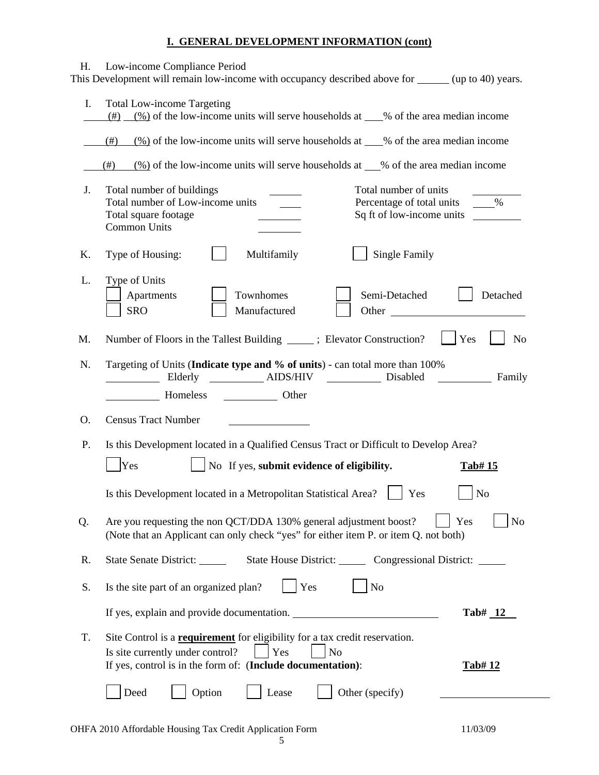#### **I. GENERAL DEVELOPMENT INFORMATION (cont)**

|    |                                                                                                                                                                                                          | $\frac{(\%)}{(\%)}$ of the low-income units will serve households at ___% of the area median income |
|----|----------------------------------------------------------------------------------------------------------------------------------------------------------------------------------------------------------|-----------------------------------------------------------------------------------------------------|
|    | $(\frac{\%}{\%})$ of the low-income units will serve households at ___% of the area median income<br>(# )                                                                                                |                                                                                                     |
|    | $\frac{(\%)}{(\%)}$ of the low-income units will serve households at __% of the area median income<br>$(\#)$                                                                                             |                                                                                                     |
| J. | Total number of units<br>Total number of buildings<br>Total number of Low-income units<br>Percentage of total units<br>Sq ft of low-income units<br>Total square footage<br>Common Units                 | $\%$                                                                                                |
| Κ. | <b>Single Family</b><br>Multifamily<br>Type of Housing:                                                                                                                                                  |                                                                                                     |
| L. | Type of Units<br>Townhomes<br>Semi-Detached<br>Apartments<br><b>SRO</b><br>Manufactured<br>Other                                                                                                         | Detached                                                                                            |
| M. | Number of Floors in the Tallest Building ______; Elevator Construction?                                                                                                                                  | Yes<br>N <sub>o</sub>                                                                               |
| N. | Targeting of Units (Indicate type and % of units) - can total more than 100%                                                                                                                             | Family                                                                                              |
|    |                                                                                                                                                                                                          |                                                                                                     |
| O. | <b>Census Tract Number</b>                                                                                                                                                                               |                                                                                                     |
| P. | Is this Development located in a Qualified Census Tract or Difficult to Develop Area?                                                                                                                    |                                                                                                     |
|    | Yes<br>No If yes, submit evidence of eligibility.                                                                                                                                                        | Tab# 15                                                                                             |
|    | Is this Development located in a Metropolitan Statistical Area?<br>Yes                                                                                                                                   | N <sub>o</sub>                                                                                      |
| Q. | Are you requesting the non QCT/DDA 130% general adjustment boost?<br>(Note that an Applicant can only check "yes" for either item P. or item Q. not both)                                                | Yes<br>N <sub>o</sub>                                                                               |
| R. | State House District: Congressional District: _____<br>State Senate District:                                                                                                                            |                                                                                                     |
| S. | Yes<br>Is the site part of an organized plan?<br>N <sub>o</sub>                                                                                                                                          |                                                                                                     |
|    | If yes, explain and provide documentation.                                                                                                                                                               | $Tab#_12$                                                                                           |
| T. | Site Control is a <b>requirement</b> for eligibility for a tax credit reservation.<br>Is site currently under control?<br>Yes<br>$\rm No$<br>If yes, control is in the form of: (Include documentation): | Tab#12                                                                                              |

 $\overline{\phantom{a}}$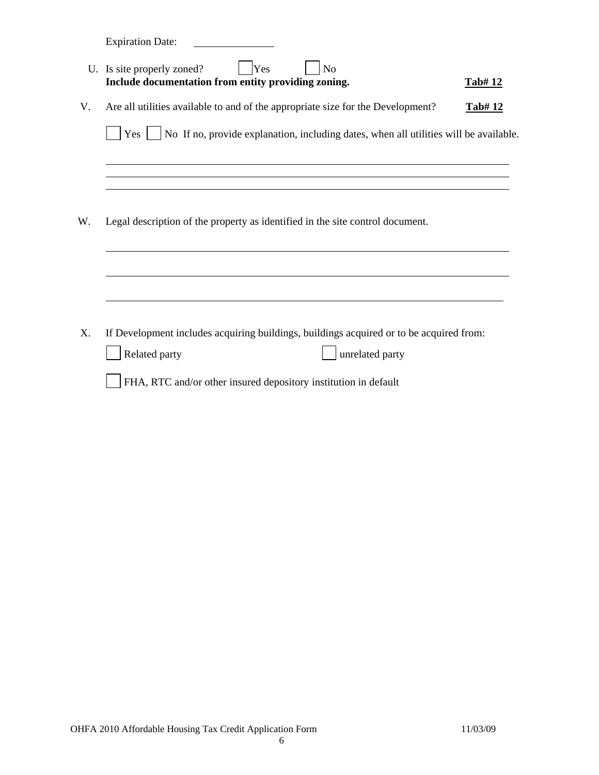Expiration Date:

|    | U. Is site properly zoned?<br>Yes<br>N <sub>o</sub><br>Include documentation from entity providing zoning.                                                                                     | Tab#12 |
|----|------------------------------------------------------------------------------------------------------------------------------------------------------------------------------------------------|--------|
| V. | Are all utilities available to and of the appropriate size for the Development?                                                                                                                | Tab#12 |
|    | Yes     No If no, provide explanation, including dates, when all utilities will be available.                                                                                                  |        |
|    |                                                                                                                                                                                                |        |
|    |                                                                                                                                                                                                |        |
| W. | Legal description of the property as identified in the site control document.                                                                                                                  |        |
|    |                                                                                                                                                                                                |        |
|    |                                                                                                                                                                                                |        |
| X. | If Development includes acquiring buildings, buildings acquired or to be acquired from:<br>Related party<br>unrelated party<br>FHA, RTC and/or other insured depository institution in default |        |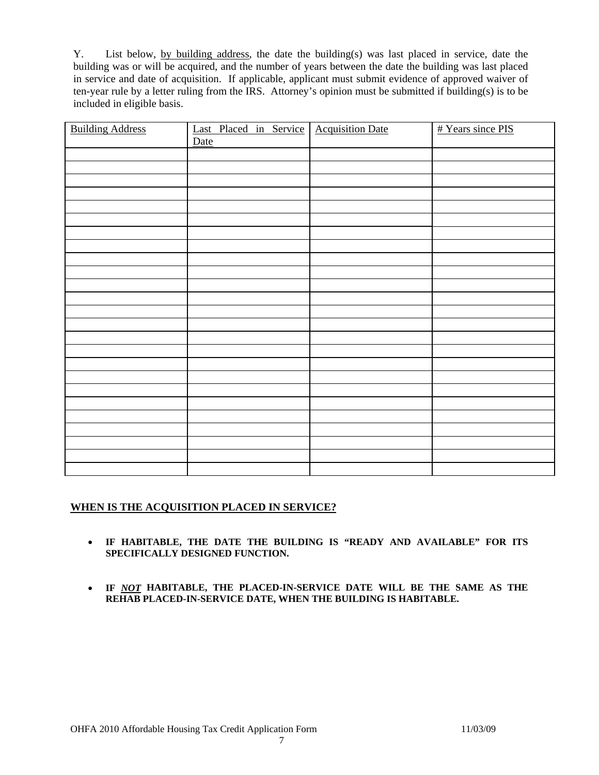Y. List below, by building address, the date the building(s) was last placed in service, date the building was or will be acquired, and the number of years between the date the building was last placed in service and date of acquisition. If applicable, applicant must submit evidence of approved waiver of ten-year rule by a letter ruling from the IRS. Attorney's opinion must be submitted if building(s) is to be included in eligible basis.

| <b>Building Address</b> | Last Placed in Service | <b>Acquisition Date</b> | # Years since PIS |
|-------------------------|------------------------|-------------------------|-------------------|
|                         | <b>Date</b>            |                         |                   |
|                         |                        |                         |                   |
|                         |                        |                         |                   |
|                         |                        |                         |                   |
|                         |                        |                         |                   |
|                         |                        |                         |                   |
|                         |                        |                         |                   |
|                         |                        |                         |                   |
|                         |                        |                         |                   |
|                         |                        |                         |                   |
|                         |                        |                         |                   |
|                         |                        |                         |                   |
|                         |                        |                         |                   |
|                         |                        |                         |                   |
|                         |                        |                         |                   |
|                         |                        |                         |                   |
|                         |                        |                         |                   |
|                         |                        |                         |                   |
|                         |                        |                         |                   |
|                         |                        |                         |                   |
|                         |                        |                         |                   |
|                         |                        |                         |                   |
|                         |                        |                         |                   |
|                         |                        |                         |                   |
|                         |                        |                         |                   |
|                         |                        |                         |                   |

#### **WHEN IS THE ACQUISITION PLACED IN SERVICE?**

- **IF HABITABLE, THE DATE THE BUILDING IS "READY AND AVAILABLE" FOR ITS SPECIFICALLY DESIGNED FUNCTION.**
- **IF** *NOT* **HABITABLE, THE PLACED-IN-SERVICE DATE WILL BE THE SAME AS THE REHAB PLACED-IN-SERVICE DATE, WHEN THE BUILDING IS HABITABLE.**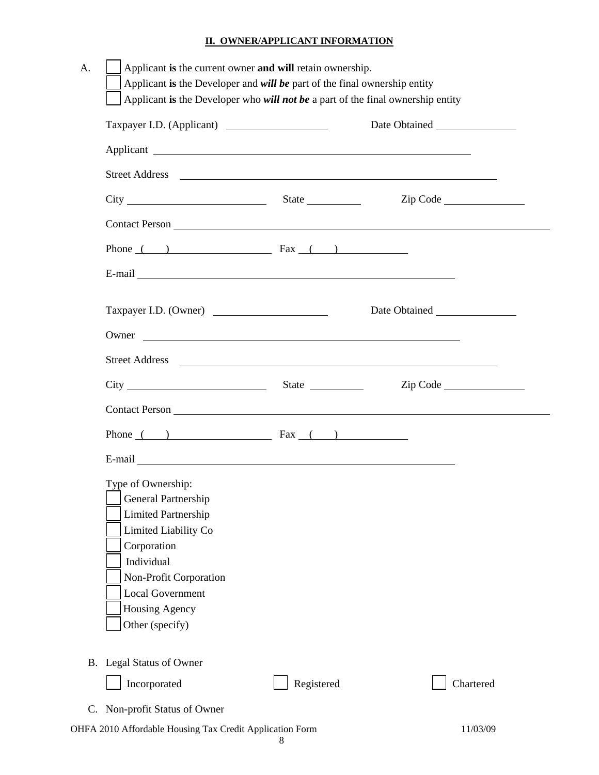#### **II. OWNER/APPLICANT INFORMATION**

| Taxpayer I.D. (Applicant)                                                                                                                                                                                                                                |            |                                                                  |
|----------------------------------------------------------------------------------------------------------------------------------------------------------------------------------------------------------------------------------------------------------|------------|------------------------------------------------------------------|
|                                                                                                                                                                                                                                                          |            |                                                                  |
|                                                                                                                                                                                                                                                          |            |                                                                  |
|                                                                                                                                                                                                                                                          |            | Zip Code                                                         |
|                                                                                                                                                                                                                                                          |            |                                                                  |
| Phone $($ ) Fax $($ $)$                                                                                                                                                                                                                                  |            |                                                                  |
|                                                                                                                                                                                                                                                          |            |                                                                  |
| Taxpayer I.D. (Owner)                                                                                                                                                                                                                                    |            |                                                                  |
|                                                                                                                                                                                                                                                          |            |                                                                  |
|                                                                                                                                                                                                                                                          |            |                                                                  |
| Street Address <u>and the set of the set of the set of the set of the set of the set of the set of the set of the set of the set of the set of the set of the set of the set of the set of the set of the set of the set of the </u><br>$City$ State $S$ |            | $\mathsf{Zip}$ Code $\_\_\_\_\_\_\_\_\_\_\_\_\_\_\_\_\_\_\_\_\_$ |
|                                                                                                                                                                                                                                                          |            |                                                                  |
|                                                                                                                                                                                                                                                          |            |                                                                  |
| Phone $($ ) Fax $($ $)$                                                                                                                                                                                                                                  |            |                                                                  |
| E-mail Leadership and the contract of the contract of the contract of the contract of the contract of the contract of the contract of the contract of the contract of the contract of the contract of the contract of the cont                           |            |                                                                  |
| Type of Ownership:<br>General Partnership                                                                                                                                                                                                                |            |                                                                  |
| <b>Limited Partnership</b>                                                                                                                                                                                                                               |            |                                                                  |
| Limited Liability Co                                                                                                                                                                                                                                     |            |                                                                  |
| Corporation                                                                                                                                                                                                                                              |            |                                                                  |
| Individual                                                                                                                                                                                                                                               |            |                                                                  |
| Non-Profit Corporation                                                                                                                                                                                                                                   |            |                                                                  |
| <b>Local Government</b>                                                                                                                                                                                                                                  |            |                                                                  |
| Housing Agency                                                                                                                                                                                                                                           |            |                                                                  |
| Other (specify)                                                                                                                                                                                                                                          |            |                                                                  |
| B. Legal Status of Owner                                                                                                                                                                                                                                 |            |                                                                  |
| Incorporated                                                                                                                                                                                                                                             | Registered | Chartered                                                        |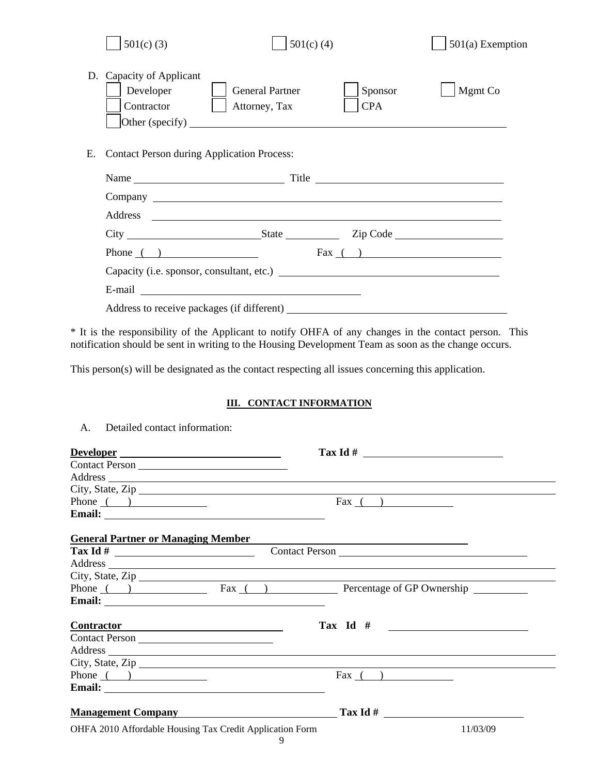|    | $501(c)$ (3)                                        |                                         | $501(c)$ (4)          | $501(a)$ Exemption |
|----|-----------------------------------------------------|-----------------------------------------|-----------------------|--------------------|
|    | D. Capacity of Applicant<br>Developer<br>Contractor | <b>General Partner</b><br>Attorney, Tax | Sponsor<br><b>CPA</b> | Mgmt Co            |
| E. | <b>Contact Person during Application Process:</b>   |                                         |                       |                    |
|    |                                                     |                                         |                       |                    |
|    |                                                     |                                         |                       |                    |
|    |                                                     |                                         |                       |                    |
|    |                                                     |                                         |                       | Zip Code           |
|    | Phone $\qquad)$                                     |                                         | $\text{Fax}$ ( )      |                    |
|    |                                                     |                                         |                       |                    |
|    |                                                     |                                         |                       |                    |
|    |                                                     |                                         |                       |                    |

\* It is the responsibility of the Applicant to notify OHFA of any changes in the contact person. This notification should be sent in writing to the Housing Development Team as soon as the change occurs.

This person(s) will be designated as the contact respecting all issues concerning this application.

#### **III. CONTACT INFORMATION**

| Developer                                                                                                                                                                                                                      |                  |
|--------------------------------------------------------------------------------------------------------------------------------------------------------------------------------------------------------------------------------|------------------|
| Contact Person                                                                                                                                                                                                                 |                  |
| Address and the contract of the contract of the contract of the contract of the contract of the contract of the contract of the contract of the contract of the contract of the contract of the contract of the contract of th |                  |
| City, State, Zip                                                                                                                                                                                                               |                  |
| Phone $($ $)$                                                                                                                                                                                                                  | $\text{Fax}$ ( ) |
|                                                                                                                                                                                                                                |                  |
| <b>General Partner or Managing Member</b>                                                                                                                                                                                      |                  |
|                                                                                                                                                                                                                                | Contact Person   |
|                                                                                                                                                                                                                                |                  |
| City, State, Zip                                                                                                                                                                                                               |                  |
| Phone () Fax () Percentage of GP Ownership                                                                                                                                                                                     |                  |
|                                                                                                                                                                                                                                |                  |
|                                                                                                                                                                                                                                |                  |
| Contractor Contractor                                                                                                                                                                                                          | Tax Id $#$       |
| Contact Person                                                                                                                                                                                                                 |                  |
| Address and the contract of the contract of the contract of the contract of the contract of the contract of the contract of the contract of the contract of the contract of the contract of the contract of the contract of th |                  |
| City, State, Zip                                                                                                                                                                                                               |                  |
| Phone $($ $)$                                                                                                                                                                                                                  | Fax $($ $)$      |
|                                                                                                                                                                                                                                |                  |
|                                                                                                                                                                                                                                |                  |
| <b>Management Company Community Community Community</b> Tax Id #                                                                                                                                                               |                  |
| OHFA 2010 Affordable Housing Tax Credit Application Form<br>9                                                                                                                                                                  | 11/03/09         |

A. Detailed contact information: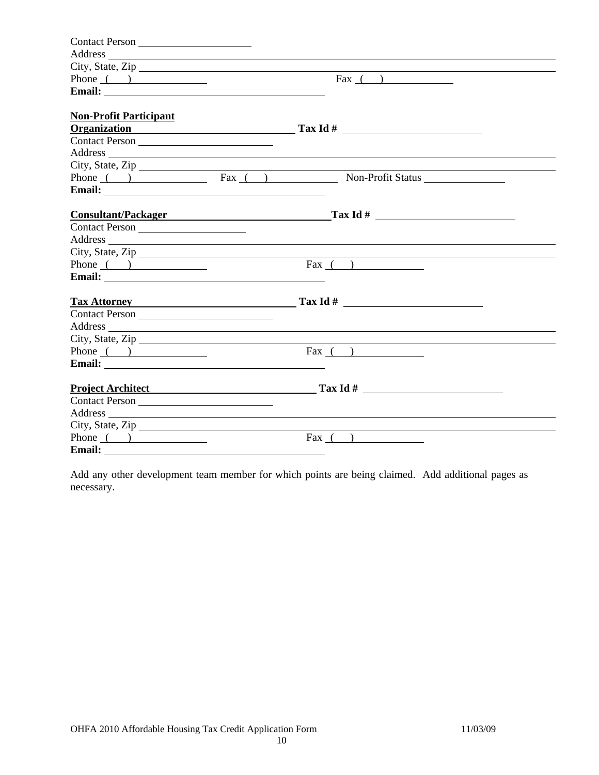| Contact Person<br>Address and the contract of the contract of the contract of the contract of the contract of the contract of the contract of the contract of the contract of the contract of the contract of the contract of the contract of th<br>City, State, Zip<br>Fax $($ $)$<br>Phone $($ $)$<br>Email: <u>Alexander School and School and School and School and School and School and School and School and School and School and School and School and School and School and School and School and School and School and School</u><br><b>Non-Profit Participant</b><br><b>Organization</b><br>Address and the contract of the contract of the contract of the contract of the contract of the contract of the contract of the contract of the contract of the contract of the contract of the contract of the contract of th<br>City, State, Zip<br>Phone () Fax () Non-Profit Status Non-Profit Status<br><b>Consultant/Packager Consultant</b><br>Address and the contract of the contract of the contract of the contract of the contract of the contract of the contract of the contract of the contract of the contract of the contract of the contract of the contract of th<br>City, State, Zip |
|------------------------------------------------------------------------------------------------------------------------------------------------------------------------------------------------------------------------------------------------------------------------------------------------------------------------------------------------------------------------------------------------------------------------------------------------------------------------------------------------------------------------------------------------------------------------------------------------------------------------------------------------------------------------------------------------------------------------------------------------------------------------------------------------------------------------------------------------------------------------------------------------------------------------------------------------------------------------------------------------------------------------------------------------------------------------------------------------------------------------------------------------------------------------------------------------------------------|
|                                                                                                                                                                                                                                                                                                                                                                                                                                                                                                                                                                                                                                                                                                                                                                                                                                                                                                                                                                                                                                                                                                                                                                                                                  |
|                                                                                                                                                                                                                                                                                                                                                                                                                                                                                                                                                                                                                                                                                                                                                                                                                                                                                                                                                                                                                                                                                                                                                                                                                  |
|                                                                                                                                                                                                                                                                                                                                                                                                                                                                                                                                                                                                                                                                                                                                                                                                                                                                                                                                                                                                                                                                                                                                                                                                                  |
|                                                                                                                                                                                                                                                                                                                                                                                                                                                                                                                                                                                                                                                                                                                                                                                                                                                                                                                                                                                                                                                                                                                                                                                                                  |
|                                                                                                                                                                                                                                                                                                                                                                                                                                                                                                                                                                                                                                                                                                                                                                                                                                                                                                                                                                                                                                                                                                                                                                                                                  |
|                                                                                                                                                                                                                                                                                                                                                                                                                                                                                                                                                                                                                                                                                                                                                                                                                                                                                                                                                                                                                                                                                                                                                                                                                  |
|                                                                                                                                                                                                                                                                                                                                                                                                                                                                                                                                                                                                                                                                                                                                                                                                                                                                                                                                                                                                                                                                                                                                                                                                                  |
|                                                                                                                                                                                                                                                                                                                                                                                                                                                                                                                                                                                                                                                                                                                                                                                                                                                                                                                                                                                                                                                                                                                                                                                                                  |
|                                                                                                                                                                                                                                                                                                                                                                                                                                                                                                                                                                                                                                                                                                                                                                                                                                                                                                                                                                                                                                                                                                                                                                                                                  |
|                                                                                                                                                                                                                                                                                                                                                                                                                                                                                                                                                                                                                                                                                                                                                                                                                                                                                                                                                                                                                                                                                                                                                                                                                  |
|                                                                                                                                                                                                                                                                                                                                                                                                                                                                                                                                                                                                                                                                                                                                                                                                                                                                                                                                                                                                                                                                                                                                                                                                                  |
|                                                                                                                                                                                                                                                                                                                                                                                                                                                                                                                                                                                                                                                                                                                                                                                                                                                                                                                                                                                                                                                                                                                                                                                                                  |
|                                                                                                                                                                                                                                                                                                                                                                                                                                                                                                                                                                                                                                                                                                                                                                                                                                                                                                                                                                                                                                                                                                                                                                                                                  |
|                                                                                                                                                                                                                                                                                                                                                                                                                                                                                                                                                                                                                                                                                                                                                                                                                                                                                                                                                                                                                                                                                                                                                                                                                  |
|                                                                                                                                                                                                                                                                                                                                                                                                                                                                                                                                                                                                                                                                                                                                                                                                                                                                                                                                                                                                                                                                                                                                                                                                                  |
|                                                                                                                                                                                                                                                                                                                                                                                                                                                                                                                                                                                                                                                                                                                                                                                                                                                                                                                                                                                                                                                                                                                                                                                                                  |
| Phone $\qquad)$<br>Fax $($ $)$                                                                                                                                                                                                                                                                                                                                                                                                                                                                                                                                                                                                                                                                                                                                                                                                                                                                                                                                                                                                                                                                                                                                                                                   |
|                                                                                                                                                                                                                                                                                                                                                                                                                                                                                                                                                                                                                                                                                                                                                                                                                                                                                                                                                                                                                                                                                                                                                                                                                  |
| <b>Tax Attorney Example 2018</b>                                                                                                                                                                                                                                                                                                                                                                                                                                                                                                                                                                                                                                                                                                                                                                                                                                                                                                                                                                                                                                                                                                                                                                                 |
| Contact Person                                                                                                                                                                                                                                                                                                                                                                                                                                                                                                                                                                                                                                                                                                                                                                                                                                                                                                                                                                                                                                                                                                                                                                                                   |
|                                                                                                                                                                                                                                                                                                                                                                                                                                                                                                                                                                                                                                                                                                                                                                                                                                                                                                                                                                                                                                                                                                                                                                                                                  |
| Address and the contract of the contract of the contract of the contract of the contract of the contract of the contract of the contract of the contract of the contract of the contract of the contract of the contract of th                                                                                                                                                                                                                                                                                                                                                                                                                                                                                                                                                                                                                                                                                                                                                                                                                                                                                                                                                                                   |
| City, State, Zip $\overline{\phantom{a}}$<br>$\text{Fax}$ ( )<br>Phone $($ $)$                                                                                                                                                                                                                                                                                                                                                                                                                                                                                                                                                                                                                                                                                                                                                                                                                                                                                                                                                                                                                                                                                                                                   |
|                                                                                                                                                                                                                                                                                                                                                                                                                                                                                                                                                                                                                                                                                                                                                                                                                                                                                                                                                                                                                                                                                                                                                                                                                  |
|                                                                                                                                                                                                                                                                                                                                                                                                                                                                                                                                                                                                                                                                                                                                                                                                                                                                                                                                                                                                                                                                                                                                                                                                                  |
|                                                                                                                                                                                                                                                                                                                                                                                                                                                                                                                                                                                                                                                                                                                                                                                                                                                                                                                                                                                                                                                                                                                                                                                                                  |
| Contact Person                                                                                                                                                                                                                                                                                                                                                                                                                                                                                                                                                                                                                                                                                                                                                                                                                                                                                                                                                                                                                                                                                                                                                                                                   |
| Address and the contract of the contract of the contract of the contract of the contract of the contract of the contract of the contract of the contract of the contract of the contract of the contract of the contract of th                                                                                                                                                                                                                                                                                                                                                                                                                                                                                                                                                                                                                                                                                                                                                                                                                                                                                                                                                                                   |
| City, State, Zip                                                                                                                                                                                                                                                                                                                                                                                                                                                                                                                                                                                                                                                                                                                                                                                                                                                                                                                                                                                                                                                                                                                                                                                                 |
| Phone $($ $)$<br>$\text{Fax}$ ( )                                                                                                                                                                                                                                                                                                                                                                                                                                                                                                                                                                                                                                                                                                                                                                                                                                                                                                                                                                                                                                                                                                                                                                                |
|                                                                                                                                                                                                                                                                                                                                                                                                                                                                                                                                                                                                                                                                                                                                                                                                                                                                                                                                                                                                                                                                                                                                                                                                                  |

Add any other development team member for which points are being claimed. Add additional pages as necessary.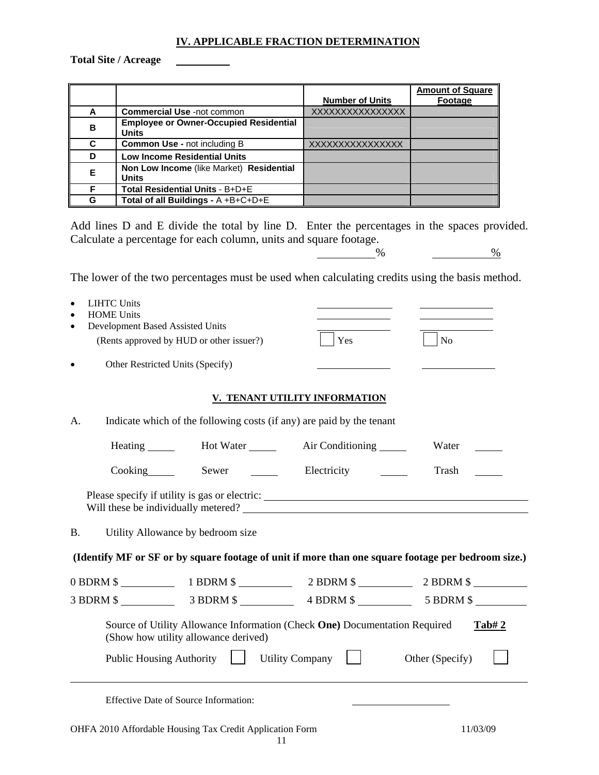#### **IV. APPLICABLE FRACTION DETERMINATION**

**Total Site / Acreage** 

|    |                                                               | <b>Number of Units</b> | Amount of Square<br>Footage |
|----|---------------------------------------------------------------|------------------------|-----------------------------|
| A  | <b>Commercial Use -not common</b>                             | XXXXXXXXXXXXXXXX       |                             |
|    |                                                               |                        |                             |
| в  | <b>Employee or Owner-Occupied Residential</b><br><b>Units</b> |                        |                             |
| C. | <b>Common Use - not including B</b>                           | XXXXXXXXXXXXXXXX       |                             |
| D  | <b>Low Income Residential Units</b>                           |                        |                             |
| E. | Non Low Income (like Market) Residential<br><b>Units</b>      |                        |                             |
| F  | Total Residential Units - B+D+E                               |                        |                             |
| G  | Total of all Buildings - A +B+C+D+E                           |                        |                             |

Add lines D and E divide the total by line D. Enter the percentages in the spaces provided. Calculate a percentage for each column, units and square footage.  $\frac{9}{6}$ 

The lower of the two percentages must be used when calculating credits using the basis method.

| <b>LIHTC Units</b><br>$\bullet$<br><b>HOME Units</b>                                                               |                               |                 |
|--------------------------------------------------------------------------------------------------------------------|-------------------------------|-----------------|
| Development Based Assisted Units                                                                                   |                               |                 |
| (Rents approved by HUD or other issuer?)                                                                           | Yes                           | N <sub>o</sub>  |
| Other Restricted Units (Specify)                                                                                   |                               |                 |
|                                                                                                                    | V. TENANT UTILITY INFORMATION |                 |
| Indicate which of the following costs (if any) are paid by the tenant<br>A.                                        |                               |                 |
| Heating _______ Hot Water ______ Air Conditioning ______                                                           |                               | Water           |
| $\sim$ Cooking<br>Sewer                                                                                            | Electricity                   | Trash           |
| Please specify if utility is gas or electric: ___________________________________                                  |                               |                 |
| <b>B.</b><br>Utility Allowance by bedroom size                                                                     |                               |                 |
| (Identify MF or SF or by square footage of unit if more than one square footage per bedroom size.)                 |                               |                 |
| 0 BDRM \$ 1 BDRM \$ 2 BDRM \$ 2 BDRM \$ 2 BDRM \$ 2 BDRM \$                                                        |                               |                 |
|                                                                                                                    |                               |                 |
| Source of Utility Allowance Information (Check One) Documentation Required<br>(Show how utility allowance derived) |                               | Tab#2           |
| <b>Public Housing Authority</b>                                                                                    | Utility Company $\vert \vert$ | Other (Specify) |
| <b>Effective Date of Source Information:</b>                                                                       |                               |                 |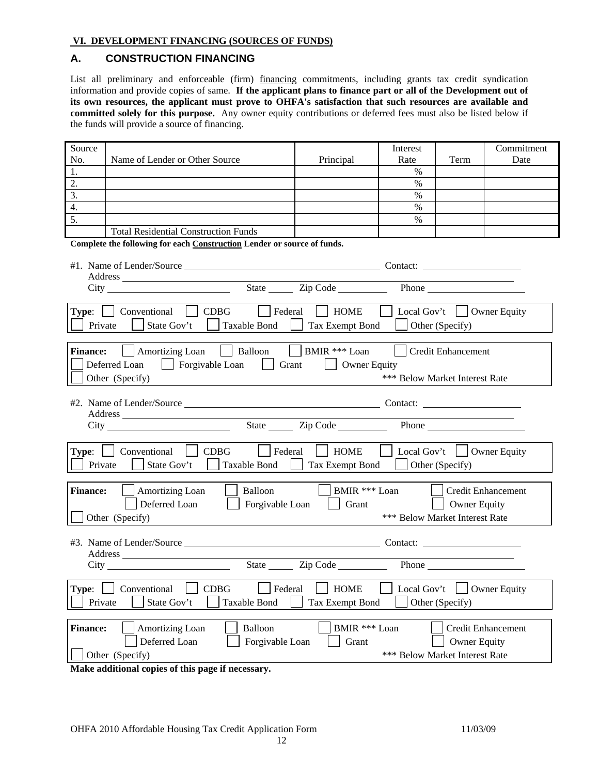#### **VI. DEVELOPMENT FINANCING (SOURCES OF FUNDS)**

#### **A. CONSTRUCTION FINANCING**

List all preliminary and enforceable (firm) financing commitments, including grants tax credit syndication information and provide copies of same. **If the applicant plans to finance part or all of the Development out of its own resources, the applicant must prove to OHFA's satisfaction that such resources are available and committed solely for this purpose.** Any owner equity contributions or deferred fees must also be listed below if the funds will provide a source of financing.

| Source          |                                                                         |                        | Interest                       |                                 | Commitment                |
|-----------------|-------------------------------------------------------------------------|------------------------|--------------------------------|---------------------------------|---------------------------|
| No.             | Name of Lender or Other Source                                          | Principal              | Rate                           | Term                            | Date                      |
| 1.              |                                                                         |                        | $\%$                           |                                 |                           |
| 2.              |                                                                         |                        | $\%$                           |                                 |                           |
| 3.              |                                                                         |                        | $\%$                           |                                 |                           |
| 4.              |                                                                         |                        | $\%$                           |                                 |                           |
| 5.              |                                                                         |                        | $\%$                           |                                 |                           |
|                 | <b>Total Residential Construction Funds</b>                             |                        |                                |                                 |                           |
|                 | Complete the following for each Construction Lender or source of funds. |                        |                                |                                 |                           |
|                 |                                                                         |                        |                                |                                 |                           |
|                 |                                                                         |                        |                                |                                 |                           |
|                 |                                                                         |                        |                                |                                 |                           |
|                 |                                                                         |                        |                                |                                 |                           |
|                 | Type:     Conventional     CDBG<br>Federal                              | HOME                   | Local Gov't   Owner Equity     |                                 |                           |
|                 | Private $\Box$<br>State Gov't   Taxable Bond                            | Tax Exempt Bond        | $\Box$ Other (Specify)         |                                 |                           |
| <b>Finance:</b> | Amortizing Loan   Balloon   BMIR *** Loan                               |                        |                                | Credit Enhancement              |                           |
|                 |                                                                         |                        |                                |                                 |                           |
|                 | $\Box$ Forgivable Loan<br>Grant<br>Deferred Loan<br>$\mathbf{L}$        | Owner Equity           |                                |                                 |                           |
|                 | Other (Specify)                                                         |                        | *** Below Market Interest Rate |                                 |                           |
|                 |                                                                         |                        |                                |                                 |                           |
|                 |                                                                         |                        |                                |                                 |                           |
|                 |                                                                         |                        |                                |                                 |                           |
|                 |                                                                         |                        |                                |                                 |                           |
|                 |                                                                         |                        |                                |                                 |                           |
| Type:           | <b>CDBG</b><br>$Conventional$  <br>Federal                              | HOME                   | Local Gov't     Owner Equity   |                                 |                           |
| Private         | State Gov't<br>Taxable Bond                                             | Tax Exempt Bond        | $\Box$ Other (Specify)         |                                 |                           |
|                 |                                                                         |                        |                                |                                 |                           |
| <b>Finance:</b> | Balloon<br>Amortizing Loan                                              | BMIR *** Loan          |                                |                                 | <b>Credit Enhancement</b> |
|                 | Deferred Loan<br>Forgivable Loan                                        | Grant                  |                                | <b>Owner Equity</b>             |                           |
|                 | Other (Specify)                                                         |                        | *** Below Market Interest Rate |                                 |                           |
|                 |                                                                         |                        |                                |                                 |                           |
|                 |                                                                         |                        |                                |                                 |                           |
|                 |                                                                         |                        |                                |                                 |                           |
|                 |                                                                         |                        |                                |                                 |                           |
|                 |                                                                         |                        |                                | $\overline{\phantom{0}}$        |                           |
| Type:           | Conventional<br><b>CDBG</b><br>Federal                                  | <b>HOME</b>            |                                | Local Gov't $\Box$ Owner Equity |                           |
| Private         | State Gov't<br><b>Taxable Bond</b>                                      | <b>Tax Exempt Bond</b> |                                | Other (Specify)                 |                           |
|                 |                                                                         |                        |                                |                                 |                           |
| <b>Finance:</b> | Balloon<br><b>Amortizing Loan</b>                                       | BMIR *** Loan          |                                |                                 | Credit Enhancement        |
|                 | Forgivable Loan<br>Deferred Loan                                        | Grant                  |                                | <b>Owner Equity</b>             |                           |
|                 |                                                                         |                        | *** Below Market Interest Rate |                                 |                           |
|                 | Other (Specify)                                                         |                        |                                |                                 |                           |

**Make additional copies of this page if necessary.**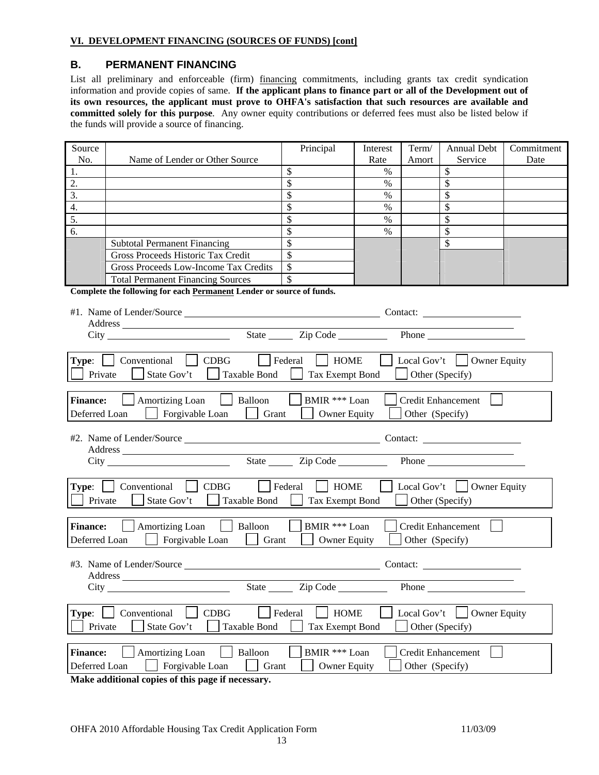### **B. PERMANENT FINANCING**

List all preliminary and enforceable (firm) financing commitments, including grants tax credit syndication information and provide copies of same. **If the applicant plans to finance part or all of the Development out of its own resources, the applicant must prove to OHFA's satisfaction that such resources are available and committed solely for this purpose**. Any owner equity contributions or deferred fees must also be listed below if the funds will provide a source of financing.

| Source                                                                                        |                                                                                 | Principal             | Interest | Term/           | <b>Annual Debt</b>                                          | Commitment |
|-----------------------------------------------------------------------------------------------|---------------------------------------------------------------------------------|-----------------------|----------|-----------------|-------------------------------------------------------------|------------|
| No.                                                                                           | Name of Lender or Other Source                                                  |                       | Rate     | Amort           | Service                                                     | Date       |
| 1.                                                                                            |                                                                                 | \$                    | $\%$     |                 | \$                                                          |            |
| 2.                                                                                            |                                                                                 | \$                    | $\%$     |                 | \$                                                          |            |
| 3.                                                                                            |                                                                                 | \$                    | $\%$     |                 | \$                                                          |            |
| 4.                                                                                            |                                                                                 | \$                    | $\%$     |                 | \$                                                          |            |
| 5.                                                                                            |                                                                                 | \$                    | $\%$     |                 | \$                                                          |            |
| 6.                                                                                            |                                                                                 | \$                    | $\%$     |                 | \$                                                          |            |
|                                                                                               | <b>Subtotal Permanent Financing</b>                                             | \$                    |          |                 | \$                                                          |            |
|                                                                                               | Gross Proceeds Historic Tax Credit                                              | \$                    |          |                 |                                                             |            |
|                                                                                               | Gross Proceeds Low-Income Tax Credits                                           | \$                    |          |                 |                                                             |            |
|                                                                                               | <b>Total Permanent Financing Sources</b>                                        | $\mathcal{S}$         |          |                 |                                                             |            |
|                                                                                               | Complete the following for each Permanent Lender or source of funds.            |                       |          |                 |                                                             |            |
|                                                                                               |                                                                                 |                       |          |                 | Contact:                                                    |            |
|                                                                                               |                                                                                 |                       |          |                 | the control of the control of the control of the control of |            |
|                                                                                               | City                                                                            | State <u>Cip</u> Code |          |                 | <b>Phone</b>                                                |            |
|                                                                                               |                                                                                 |                       |          |                 |                                                             |            |
| Type:                                                                                         | Conventional<br><b>CDBG</b><br>$\vert$   Federal<br>$\mathbf{1}$                | <b>HOME</b>           |          |                 | Local Gov't $\vert$ Owner Equity                            |            |
| Private                                                                                       | State Gov't<br>Taxable Bond                                                     | Tax Exempt Bond       |          |                 | Other (Specify)                                             |            |
|                                                                                               |                                                                                 |                       |          |                 |                                                             |            |
| <b>Finance:</b>                                                                               | Amortizing Loan<br>Balloon                                                      | BMIR *** Loan         |          |                 | <b>Credit Enhancement</b>                                   |            |
| Deferred Loan                                                                                 | Forgivable Loan<br>Grant                                                        | <b>Owner Equity</b>   |          | Other (Specify) |                                                             |            |
|                                                                                               |                                                                                 |                       |          |                 |                                                             |            |
|                                                                                               |                                                                                 |                       |          |                 |                                                             |            |
|                                                                                               |                                                                                 |                       |          |                 | <u> 1989 - Johann Barnett, fransk konge og det</u>          |            |
|                                                                                               | City                                                                            | State <u>Cip</u> Code |          |                 | Phone                                                       |            |
|                                                                                               |                                                                                 |                       |          |                 |                                                             |            |
|                                                                                               | $\vert$   Federal<br>Type:   Conventional<br><b>CDBG</b>                        | <b>HOME</b>           |          |                 | Local Gov't $\vert$ Owner Equity                            |            |
| Private                                                                                       | State Gov't<br>Taxable Bond                                                     | Tax Exempt Bond       |          |                 | Other (Specify)                                             |            |
|                                                                                               |                                                                                 |                       |          |                 |                                                             |            |
| <b>Finance:</b>                                                                               | Balloon<br>Amortizing Loan                                                      | BMIR *** Loan         |          |                 | <b>Credit Enhancement</b>                                   |            |
| Deferred Loan                                                                                 | Forgivable Loan<br>Grant                                                        | <b>Owner Equity</b>   |          | Other (Specify) |                                                             |            |
|                                                                                               |                                                                                 |                       |          |                 |                                                             |            |
|                                                                                               | #3. Name of Lender/Source                                                       |                       |          | Contact:        |                                                             |            |
| Address                                                                                       |                                                                                 |                       |          |                 |                                                             |            |
|                                                                                               |                                                                                 | State <u>Zip</u> Code |          |                 |                                                             |            |
|                                                                                               |                                                                                 |                       |          |                 |                                                             |            |
| Federal<br>Type:<br>Conventional<br>CDBG<br><b>HOME</b><br>Local Gov't<br><b>Owner Equity</b> |                                                                                 |                       |          |                 |                                                             |            |
| Private<br>State Gov't<br><b>Taxable Bond</b><br>Other (Specify)<br>Tax Exempt Bond           |                                                                                 |                       |          |                 |                                                             |            |
|                                                                                               |                                                                                 |                       |          |                 |                                                             |            |
| <b>Finance:</b>                                                                               | Balloon<br>BMIR *** Loan<br><b>Amortizing Loan</b><br><b>Credit Enhancement</b> |                       |          |                 |                                                             |            |
|                                                                                               | Forgivable Loan<br>Grant                                                        |                       |          |                 |                                                             |            |
| Deferred Loan<br>Other (Specify)<br><b>Owner Equity</b>                                       |                                                                                 |                       |          |                 |                                                             |            |

**Make additional copies of this page if necessary.**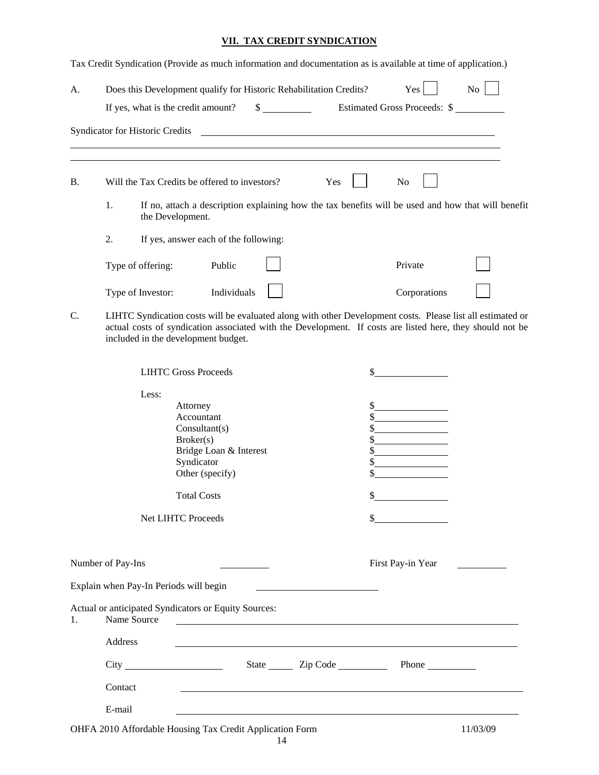#### **VII. TAX CREDIT SYNDICATION**

Tax Credit Syndication (Provide as much information and documentation as is available at time of application.)

| А.        | Does this Development qualify for Historic Rehabilitation Credits?  |                                       |                                                                  |    | Yes                                                                                                                  | No                                                                                                                                                                                                                      |
|-----------|---------------------------------------------------------------------|---------------------------------------|------------------------------------------------------------------|----|----------------------------------------------------------------------------------------------------------------------|-------------------------------------------------------------------------------------------------------------------------------------------------------------------------------------------------------------------------|
|           | If yes, what is the credit amount?                                  |                                       | $\sim$                                                           |    | Estimated Gross Proceeds: \$                                                                                         |                                                                                                                                                                                                                         |
|           | Syndicator for Historic Credits                                     |                                       |                                                                  |    | <u> Alexandria de la contrada de la contrada de la contrada de la contrada de la contrada de la contrada de la c</u> |                                                                                                                                                                                                                         |
| <b>B.</b> | Will the Tax Credits be offered to investors?                       |                                       | Yes                                                              |    | No                                                                                                                   |                                                                                                                                                                                                                         |
|           | 1.                                                                  | the Development.                      |                                                                  |    |                                                                                                                      | If no, attach a description explaining how the tax benefits will be used and how that will benefit                                                                                                                      |
|           | 2.                                                                  | If yes, answer each of the following: |                                                                  |    |                                                                                                                      |                                                                                                                                                                                                                         |
|           | Type of offering:                                                   | Public                                |                                                                  |    | Private                                                                                                              |                                                                                                                                                                                                                         |
|           | Type of Investor:                                                   | Individuals                           |                                                                  |    | Corporations                                                                                                         |                                                                                                                                                                                                                         |
| C.        | included in the development budget.                                 |                                       |                                                                  |    |                                                                                                                      | LIHTC Syndication costs will be evaluated along with other Development costs. Please list all estimated or<br>actual costs of syndication associated with the Development. If costs are listed here, they should not be |
|           |                                                                     | <b>LIHTC Gross Proceeds</b>           |                                                                  | S. |                                                                                                                      |                                                                                                                                                                                                                         |
|           | Less:                                                               |                                       |                                                                  |    |                                                                                                                      |                                                                                                                                                                                                                         |
|           |                                                                     | Attorney                              |                                                                  |    |                                                                                                                      |                                                                                                                                                                                                                         |
|           |                                                                     | Accountant                            |                                                                  |    |                                                                                                                      |                                                                                                                                                                                                                         |
|           |                                                                     | Consultant(s)<br>Broker(s)            |                                                                  | \$ |                                                                                                                      |                                                                                                                                                                                                                         |
|           |                                                                     | Bridge Loan & Interest                |                                                                  | \$ |                                                                                                                      |                                                                                                                                                                                                                         |
|           |                                                                     | Syndicator                            |                                                                  | \$ |                                                                                                                      |                                                                                                                                                                                                                         |
|           |                                                                     | Other (specify)                       |                                                                  | \$ |                                                                                                                      |                                                                                                                                                                                                                         |
|           |                                                                     | <b>Total Costs</b>                    |                                                                  |    |                                                                                                                      |                                                                                                                                                                                                                         |
|           |                                                                     | <b>Net LIHTC Proceeds</b>             |                                                                  | \$ |                                                                                                                      |                                                                                                                                                                                                                         |
|           | Number of Pay-Ins                                                   |                                       |                                                                  |    | First Pay-in Year                                                                                                    |                                                                                                                                                                                                                         |
|           | Explain when Pay-In Periods will begin                              |                                       | <u> 1989 - Johann Stein, mars an t-Amerikaansk kommunister (</u> |    |                                                                                                                      |                                                                                                                                                                                                                         |
| 1.        | Actual or anticipated Syndicators or Equity Sources:<br>Name Source |                                       |                                                                  |    |                                                                                                                      |                                                                                                                                                                                                                         |
|           | Address                                                             |                                       |                                                                  |    | and the control of the control of the control of the control of the control of the control of the control of the     |                                                                                                                                                                                                                         |
|           |                                                                     |                                       | State <u>Cip</u> Code                                            |    |                                                                                                                      |                                                                                                                                                                                                                         |
|           | Contact                                                             |                                       |                                                                  |    |                                                                                                                      |                                                                                                                                                                                                                         |
|           | E-mail                                                              |                                       |                                                                  |    |                                                                                                                      |                                                                                                                                                                                                                         |

OHFA 2010 Affordable Housing Tax Credit Application Form 11/03/09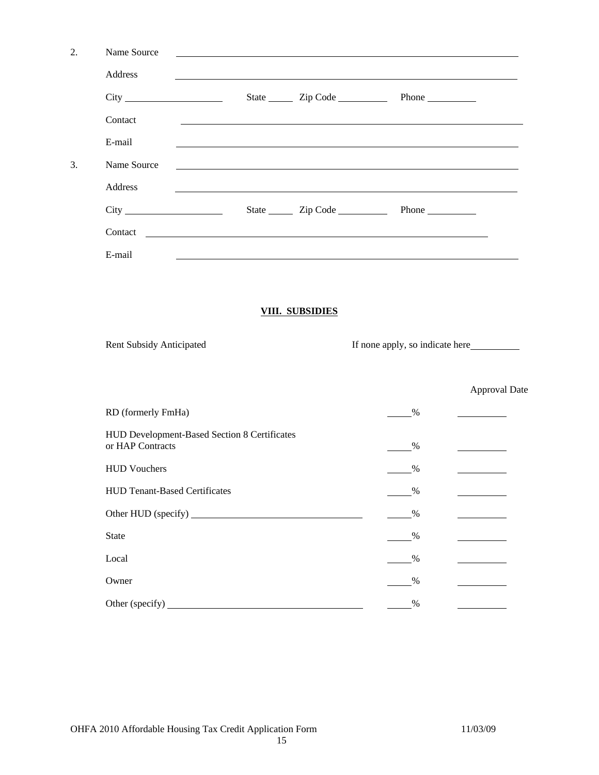| 2. | Name Source                                                      |                        |                                                                                                                        |                      |
|----|------------------------------------------------------------------|------------------------|------------------------------------------------------------------------------------------------------------------------|----------------------|
|    | Address                                                          |                        | <u> 1989 - Johann Stoff, deutscher Stoffen und der Stoffen und der Stoffen und der Stoffen und der Stoffen und der</u> |                      |
|    |                                                                  |                        |                                                                                                                        |                      |
|    | Contact                                                          |                        |                                                                                                                        |                      |
|    | E-mail                                                           |                        | <u> 1989 - John Stein, marking and de broad and de broad and de broad and de broad and de broad and de broad and</u>   |                      |
| 3. | Name Source                                                      |                        | <u> 1989 - Johann John Barn, mars and deutscher Stadt and deutscher Stadt and deutscher Stadt and deutscher Stadt</u>  |                      |
|    | Address                                                          |                        | ,我们也不会有什么。""我们的人,我们也不会有什么?""我们的人,我们也不会有什么?""我们的人,我们也不会有什么?""我们的人,我们也不会有什么?""我们的人                                       |                      |
|    |                                                                  | State <u>Cip</u> Code  | Phone                                                                                                                  |                      |
|    |                                                                  |                        |                                                                                                                        |                      |
|    | E-mail                                                           |                        |                                                                                                                        |                      |
|    |                                                                  |                        |                                                                                                                        |                      |
|    |                                                                  | <b>VIII. SUBSIDIES</b> |                                                                                                                        |                      |
|    | <b>Rent Subsidy Anticipated</b>                                  |                        |                                                                                                                        |                      |
|    |                                                                  |                        |                                                                                                                        |                      |
|    |                                                                  |                        |                                                                                                                        | <b>Approval Date</b> |
|    | RD (formerly FmHa)                                               |                        | %                                                                                                                      |                      |
|    | HUD Development-Based Section 8 Certificates<br>or HAP Contracts |                        | $\%$                                                                                                                   |                      |
|    | <b>HUD Vouchers</b>                                              |                        | $\%$                                                                                                                   |                      |
|    |                                                                  |                        |                                                                                                                        |                      |
|    | HUD Tenant-Based Certificates                                    |                        | $\%$                                                                                                                   |                      |
|    |                                                                  |                        | $\%$                                                                                                                   |                      |
|    | <b>State</b>                                                     |                        | $\%$                                                                                                                   |                      |
|    | Local                                                            |                        | $\%$                                                                                                                   |                      |
|    | Owner                                                            |                        | $\%$                                                                                                                   |                      |
|    |                                                                  |                        | $\frac{0}{0}$                                                                                                          |                      |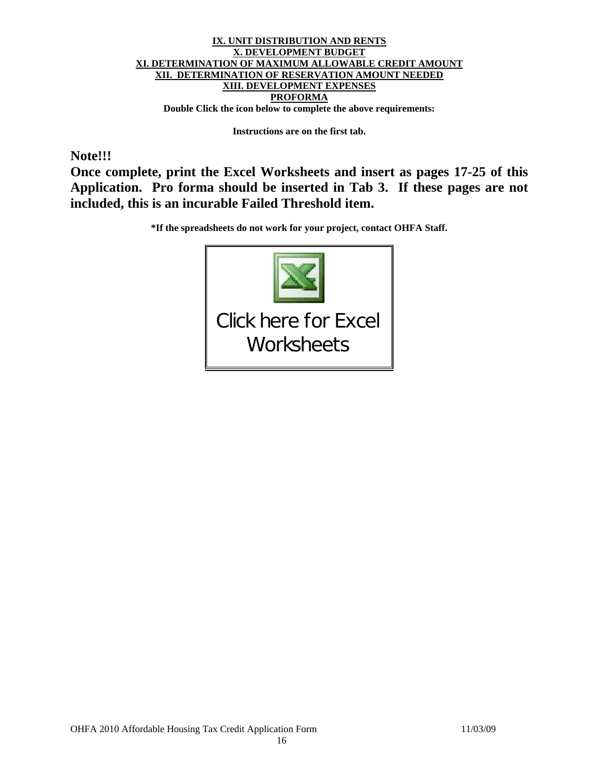#### **IX. UNIT DISTRIBUTION AND RENTS X. DEVELOPMENT BUDGET XI. DETERMINATION OF MAXIMUM ALLOWABLE CREDIT AMOUNT XII. DETERMINATION OF RESERVATION AMOUNT NEEDED XIII. DEVELOPMENT EXPENSES PROFORMA Double Click the icon below to complete the above requirements:**

**Instructions are on the first tab.** 

## **Note!!!**

**Once complete, print the Excel Worksheets and insert as pages 17-25 of this Application. Pro forma should be inserted in Tab 3. If these pages are not included, this is an incurable Failed Threshold item.** 

**\*If the spreadsheets do not work for your project, contact OHFA Staff.** 

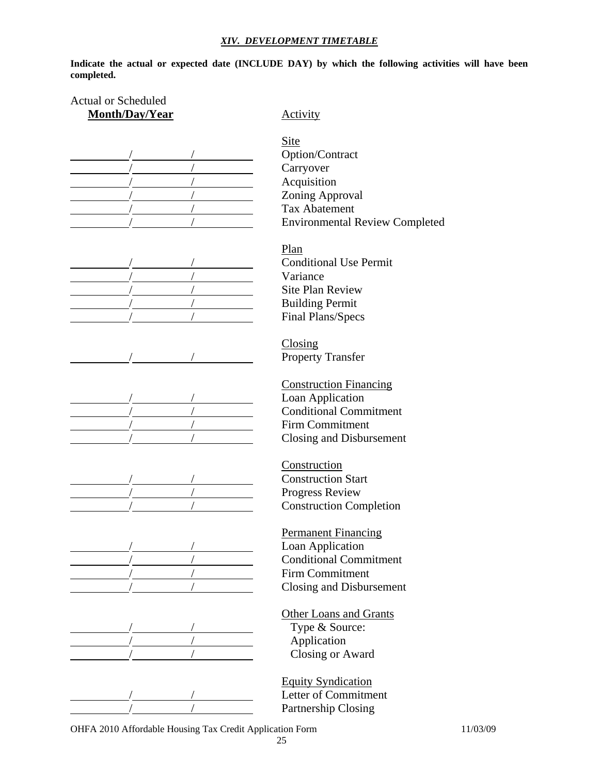#### *XIV. DEVELOPMENT TIMETABLE*

**Indicate the actual or expected date (INCLUDE DAY) by which the following activities will have been completed.** 

# Actual or Scheduled **Month/Day/Year** Activity

$$
\overline{a} = \overline{a} \cdot \overline{a}
$$







 Site Option/Contract Carryover Acquisition Zoning Approval Tax Abatement **Environmental Review Completed** 

 Plan **Conditional Use Permit** Variance Site Plan Review **Building Permit** Final Plans/Specs

 Closing Property Transfer

 Construction Financing Loan Application **Conditional Commitment** Firm Commitment Closing and Disbursement

 Construction **Construction Start** Progress Review **Construction Completion** 

 Permanent Financing Loan Application **Conditional Commitment**  / / Firm Commitment Closing and Disbursement

#### Other Loans and Grants Type & Source:

Application Closing or Award

 Equity Syndication Letter of Commitment Partnership Closing

OHFA 2010 Affordable Housing Tax Credit Application Form 11/03/09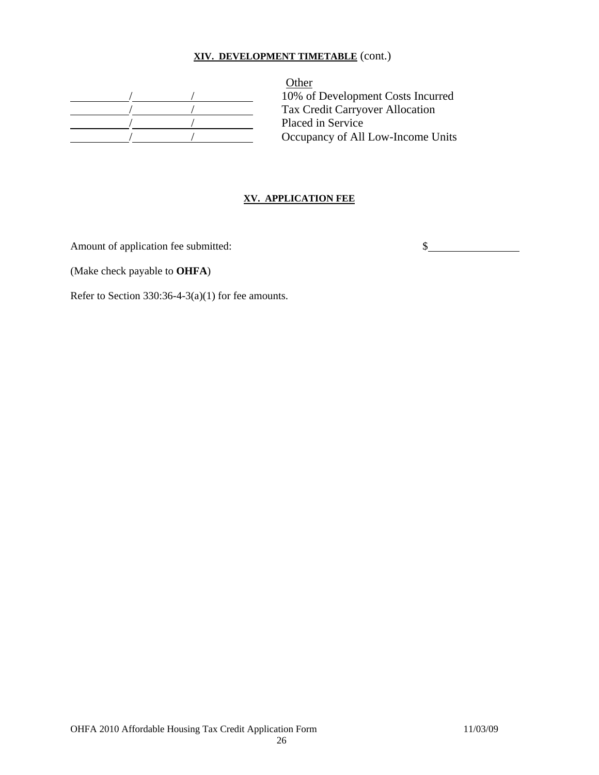## **XIV. DEVELOPMENT TIMETABLE** (cont.)

**Other** 10% of Development Costs Incurred Tax Credit Carryover Allocation Placed in Service Occupancy of All Low-Income Units

#### **XV. APPLICATION FEE**

Amount of application fee submitted:  $\qquad \qquad$  \$

(Make check payable to **OHFA**)

Refer to Section 330:36-4-3(a)(1) for fee amounts.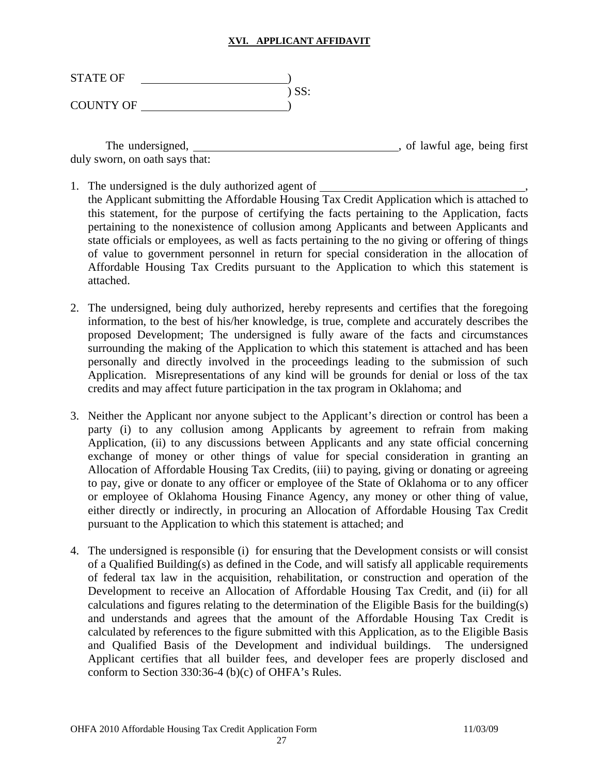#### **XVI. APPLICANT AFFIDAVIT**

| <b>STATE OF</b>  |       |
|------------------|-------|
|                  | ) SS: |
| <b>COUNTY OF</b> |       |

The undersigned, the undersigned,  $\overline{\phantom{a}}$ , of lawful age, being first duly sworn, on oath says that:

- 1. The undersigned is the duly authorized agent of  $\overline{\phantom{a}}$ the Applicant submitting the Affordable Housing Tax Credit Application which is attached to this statement, for the purpose of certifying the facts pertaining to the Application, facts pertaining to the nonexistence of collusion among Applicants and between Applicants and state officials or employees, as well as facts pertaining to the no giving or offering of things of value to government personnel in return for special consideration in the allocation of Affordable Housing Tax Credits pursuant to the Application to which this statement is attached.
- 2. The undersigned, being duly authorized, hereby represents and certifies that the foregoing information, to the best of his/her knowledge, is true, complete and accurately describes the proposed Development; The undersigned is fully aware of the facts and circumstances surrounding the making of the Application to which this statement is attached and has been personally and directly involved in the proceedings leading to the submission of such Application. Misrepresentations of any kind will be grounds for denial or loss of the tax credits and may affect future participation in the tax program in Oklahoma; and
- 3. Neither the Applicant nor anyone subject to the Applicant's direction or control has been a party (i) to any collusion among Applicants by agreement to refrain from making Application, (ii) to any discussions between Applicants and any state official concerning exchange of money or other things of value for special consideration in granting an Allocation of Affordable Housing Tax Credits, (iii) to paying, giving or donating or agreeing to pay, give or donate to any officer or employee of the State of Oklahoma or to any officer or employee of Oklahoma Housing Finance Agency, any money or other thing of value, either directly or indirectly, in procuring an Allocation of Affordable Housing Tax Credit pursuant to the Application to which this statement is attached; and
- 4. The undersigned is responsible (i) for ensuring that the Development consists or will consist of a Qualified Building(s) as defined in the Code, and will satisfy all applicable requirements of federal tax law in the acquisition, rehabilitation, or construction and operation of the Development to receive an Allocation of Affordable Housing Tax Credit, and (ii) for all calculations and figures relating to the determination of the Eligible Basis for the building(s) and understands and agrees that the amount of the Affordable Housing Tax Credit is calculated by references to the figure submitted with this Application, as to the Eligible Basis and Qualified Basis of the Development and individual buildings. The undersigned Applicant certifies that all builder fees, and developer fees are properly disclosed and conform to Section 330:36-4 (b)(c) of OHFA's Rules.